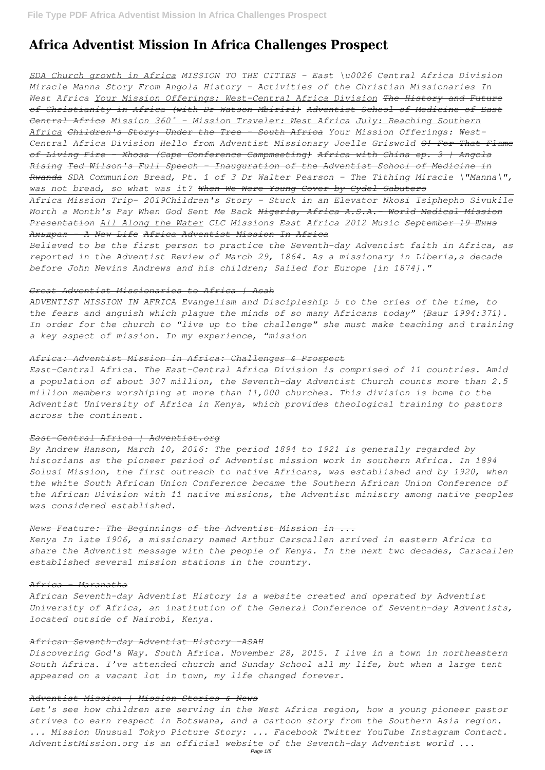# **Africa Adventist Mission In Africa Challenges Prospect**

*SDA Church growth in Africa MISSION TO THE CITIES - East \u0026 Central Africa Division Miracle Manna Story From Angola History - Activities of the Christian Missionaries In West Africa Your Mission Offerings: West-Central Africa Division The History and Future of Christianity in Africa (with Dr Watson Mbiriri) Adventist School of Medicine of East Central Africa Mission 360˚ - Mission Traveler: West Africa July: Reaching Southern Africa Children's Story: Under the Tree - South Africa Your Mission Offerings: West-Central Africa Division Hello from Adventist Missionary Joelle Griswold O! For That Flame of Living Fire - Xhosa (Cape Conference Campmeeting) Africa with China ep. 3 | Angola Rising Ted Wilson's Full Speech - Inauguration of the Adventist School of Medicine in Rwanda SDA Communion Bread, Pt. 1 of 3 Dr Walter Pearson - The Tithing Miracle \"Manna\", was not bread, so what was it? When We Were Young Cover by Cydel Gabutero*

*Africa Mission Trip- 2019Children's Story - Stuck in an Elevator Nkosi Isiphepho Sivukile Worth a Month's Pay When God Sent Me Back Nigeria, Africa A.S.A.- World Medical Mission Presentation All Along the Water CLC Missions East Africa 2012 Music September 19 Шинэ Амьдрал - A New Life Africa Adventist Mission In Africa*

*Believed to be the first person to practice the Seventh-day Adventist faith in Africa, as reported in the Adventist Review of March 29, 1864. As a missionary in Liberia,a decade before John Nevins Andrews and his children; Sailed for Europe [in 1874]."*

# *Great Adventist Missionaries to Africa | Asah*

*ADVENTIST MISSION IN AFRICA Evangelism and Discipleship 5 to the cries of the time, to the fears and anguish which plague the minds of so many Africans today" (Baur 1994:371). In order for the church to "live up to the challenge" she must make teaching and training a key aspect of mission. In my experience, "mission*

# *Africa: Adventist Mission in Africa: Challenges & Prospect*

*East-Central Africa. The East-Central Africa Division is comprised of 11 countries. Amid a population of about 307 million, the Seventh-day Adventist Church counts more than 2.5 million members worshiping at more than 11,000 churches. This division is home to the Adventist University of Africa in Kenya, which provides theological training to pastors across the continent.*

# *East-Central Africa | Adventist.org*

*By Andrew Hanson, March 10, 2016: The period 1894 to 1921 is generally regarded by historians as the pioneer period of Adventist mission work in southern Africa. In 1894 Solusi Mission, the first outreach to native Africans, was established and by 1920, when the white South African Union Conference became the Southern African Union Conference of the African Division with 11 native missions, the Adventist ministry among native peoples was considered established.*

# *News Feature: The Beginnings of the Adventist Mission in ...*

*Kenya In late 1906, a missionary named Arthur Carscallen arrived in eastern Africa to share the Adventist message with the people of Kenya. In the next two decades, Carscallen established several mission stations in the country.*

#### *Africa - Maranatha*

*African Seventh-day Adventist History is a website created and operated by Adventist University of Africa, an institution of the General Conference of Seventh-day Adventists, located outside of Nairobi, Kenya.*

#### *African Seventh-day Adventist History -ASAH*

*Discovering God's Way. South Africa. November 28, 2015. I live in a town in northeastern South Africa. I've attended church and Sunday School all my life, but when a large tent appeared on a vacant lot in town, my life changed forever.*

#### *Adventist Mission | Mission Stories & News*

*Let's see how children are serving in the West Africa region, how a young pioneer pastor strives to earn respect in Botswana, and a cartoon story from the Southern Asia region. ... Mission Unusual Tokyo Picture Story: ... Facebook Twitter YouTube Instagram Contact. AdventistMission.org is an official website of the Seventh-day Adventist world ...*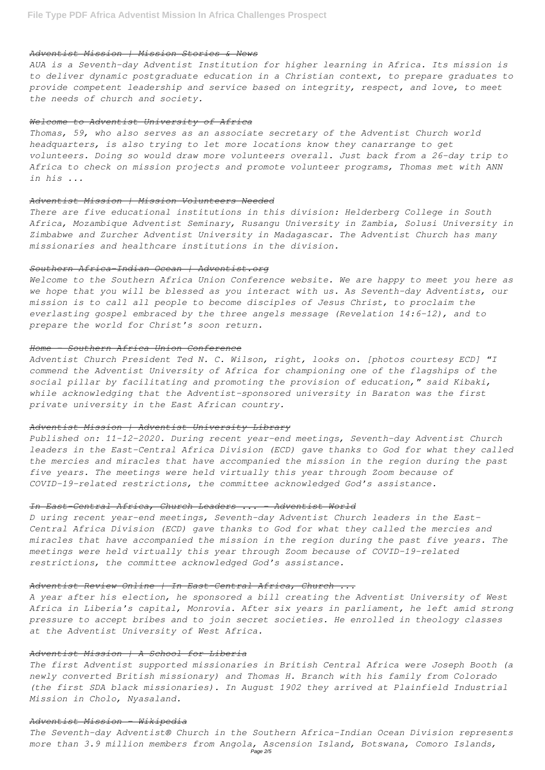#### *Adventist Mission | Mission Stories & News*

*AUA is a Seventh-day Adventist Institution for higher learning in Africa. Its mission is to deliver dynamic postgraduate education in a Christian context, to prepare graduates to provide competent leadership and service based on integrity, respect, and love, to meet the needs of church and society.*

#### *Welcome to Adventist University of Africa*

*Thomas, 59, who also serves as an associate secretary of the Adventist Church world headquarters, is also trying to let more locations know they canarrange to get volunteers. Doing so would draw more volunteers overall. Just back from a 26-day trip to Africa to check on mission projects and promote volunteer programs, Thomas met with ANN in his ...*

#### *Adventist Mission | Mission Volunteers Needed*

*There are five educational institutions in this division: Helderberg College in South Africa, Mozambique Adventist Seminary, Rusangu University in Zambia, Solusi University in Zimbabwe and Zurcher Adventist University in Madagascar. The Adventist Church has many missionaries and healthcare institutions in the division.*

#### *Southern Africa-Indian Ocean | Adventist.org*

*Welcome to the Southern Africa Union Conference website. We are happy to meet you here as we hope that you will be blessed as you interact with us. As Seventh-day Adventists, our mission is to call all people to become disciples of Jesus Christ, to proclaim the everlasting gospel embraced by the three angels message (Revelation 14:6-12), and to prepare the world for Christ's soon return.*

# *Home - Southern Africa Union Conference*

*Adventist Church President Ted N. C. Wilson, right, looks on. [photos courtesy ECD] "I commend the Adventist University of Africa for championing one of the flagships of the social pillar by facilitating and promoting the provision of education," said Kibaki, while acknowledging that the Adventist-sponsored university in Baraton was the first private university in the East African country.*

#### *Adventist Mission | Adventist University Library*

*Published on: 11-12-2020. During recent year-end meetings, Seventh-day Adventist Church leaders in the East-Central Africa Division (ECD) gave thanks to God for what they called the mercies and miracles that have accompanied the mission in the region during the past five years. The meetings were held virtually this year through Zoom because of COVID-19-related restrictions, the committee acknowledged God's assistance.*

#### *In East-Central Africa, Church Leaders ... - Adventist World*

*D uring recent year-end meetings, Seventh-day Adventist Church leaders in the East-Central Africa Division (ECD) gave thanks to God for what they called the mercies and miracles that have accompanied the mission in the region during the past five years. The meetings were held virtually this year through Zoom because of COVID-19-related restrictions, the committee acknowledged God's assistance.*

# *Adventist Review Online | In East-Central Africa, Church ...*

*A year after his election, he sponsored a bill creating the Adventist University of West Africa in Liberia's capital, Monrovia. After six years in parliament, he left amid strong pressure to accept bribes and to join secret societies. He enrolled in theology classes at the Adventist University of West Africa.*

#### *Adventist Mission | A School for Liberia*

*The first Adventist supported missionaries in British Central Africa were Joseph Booth (a newly converted British missionary) and Thomas H. Branch with his family from Colorado (the first SDA black missionaries). In August 1902 they arrived at Plainfield Industrial Mission in Cholo, Nyasaland.*

### *Adventist Mission - Wikipedia*

*The Seventh-day Adventist® Church in the Southern Africa-Indian Ocean Division represents more than 3.9 million members from Angola, Ascension Island, Botswana, Comoro Islands,* Page 2/5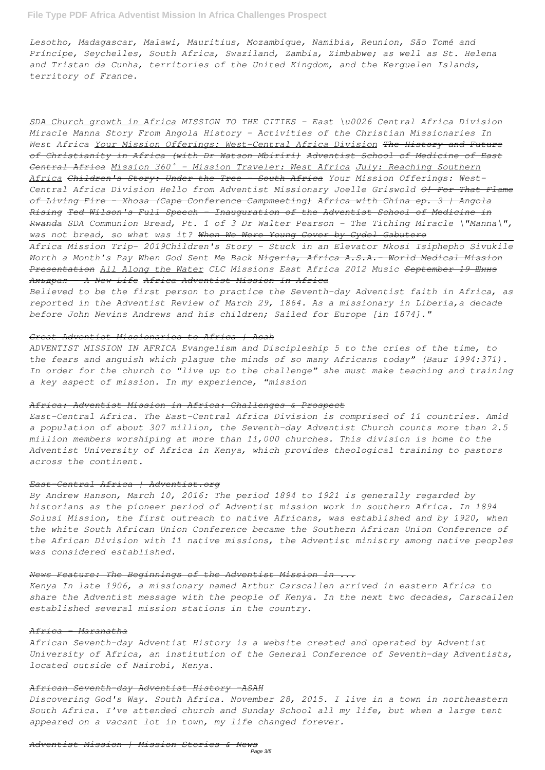# **File Type PDF Africa Adventist Mission In Africa Challenges Prospect**

*Lesotho, Madagascar, Malawi, Mauritius, Mozambique, Namibia, Reunion, São Tomé and Príncipe, Seychelles, South Africa, Swaziland, Zambia, Zimbabwe; as well as St. Helena and Tristan da Cunha, territories of the United Kingdom, and the Kerguelen Islands, territory of France.*

*SDA Church growth in Africa MISSION TO THE CITIES - East \u0026 Central Africa Division Miracle Manna Story From Angola History - Activities of the Christian Missionaries In West Africa Your Mission Offerings: West-Central Africa Division The History and Future of Christianity in Africa (with Dr Watson Mbiriri) Adventist School of Medicine of East Central Africa Mission 360˚ - Mission Traveler: West Africa July: Reaching Southern Africa Children's Story: Under the Tree - South Africa Your Mission Offerings: West-Central Africa Division Hello from Adventist Missionary Joelle Griswold O! For That Flame of Living Fire - Xhosa (Cape Conference Campmeeting) Africa with China ep. 3 | Angola Rising Ted Wilson's Full Speech - Inauguration of the Adventist School of Medicine in Rwanda SDA Communion Bread, Pt. 1 of 3 Dr Walter Pearson - The Tithing Miracle \"Manna\", was not bread, so what was it? When We Were Young Cover by Cydel Gabutero*

*Africa Mission Trip- 2019Children's Story - Stuck in an Elevator Nkosi Isiphepho Sivukile Worth a Month's Pay When God Sent Me Back Nigeria, Africa A.S.A.- World Medical Mission Presentation All Along the Water CLC Missions East Africa 2012 Music September 19 Шинэ Амьдрал - A New Life Africa Adventist Mission In Africa*

*Believed to be the first person to practice the Seventh-day Adventist faith in Africa, as reported in the Adventist Review of March 29, 1864. As a missionary in Liberia,a decade before John Nevins Andrews and his children; Sailed for Europe [in 1874]."*

## *Great Adventist Missionaries to Africa | Asah*

*ADVENTIST MISSION IN AFRICA Evangelism and Discipleship 5 to the cries of the time, to the fears and anguish which plague the minds of so many Africans today" (Baur 1994:371). In order for the church to "live up to the challenge" she must make teaching and training a key aspect of mission. In my experience, "mission*

## *Africa: Adventist Mission in Africa: Challenges & Prospect*

*East-Central Africa. The East-Central Africa Division is comprised of 11 countries. Amid a population of about 307 million, the Seventh-day Adventist Church counts more than 2.5 million members worshiping at more than 11,000 churches. This division is home to the Adventist University of Africa in Kenya, which provides theological training to pastors across the continent.*

# *East-Central Africa | Adventist.org*

*By Andrew Hanson, March 10, 2016: The period 1894 to 1921 is generally regarded by historians as the pioneer period of Adventist mission work in southern Africa. In 1894 Solusi Mission, the first outreach to native Africans, was established and by 1920, when the white South African Union Conference became the Southern African Union Conference of the African Division with 11 native missions, the Adventist ministry among native peoples was considered established.*

*Kenya In late 1906, a missionary named Arthur Carscallen arrived in eastern Africa to share the Adventist message with the people of Kenya. In the next two decades, Carscallen established several mission stations in the country.*

## *Africa - Maranatha*

*African Seventh-day Adventist History is a website created and operated by Adventist University of Africa, an institution of the General Conference of Seventh-day Adventists, located outside of Nairobi, Kenya.*

# *African Seventh-day Adventist History -ASAH*

*Discovering God's Way. South Africa. November 28, 2015. I live in a town in northeastern South Africa. I've attended church and Sunday School all my life, but when a large tent appeared on a vacant lot in town, my life changed forever.*

#### *Adventist Mission | Mission Stories & News* Page 3/5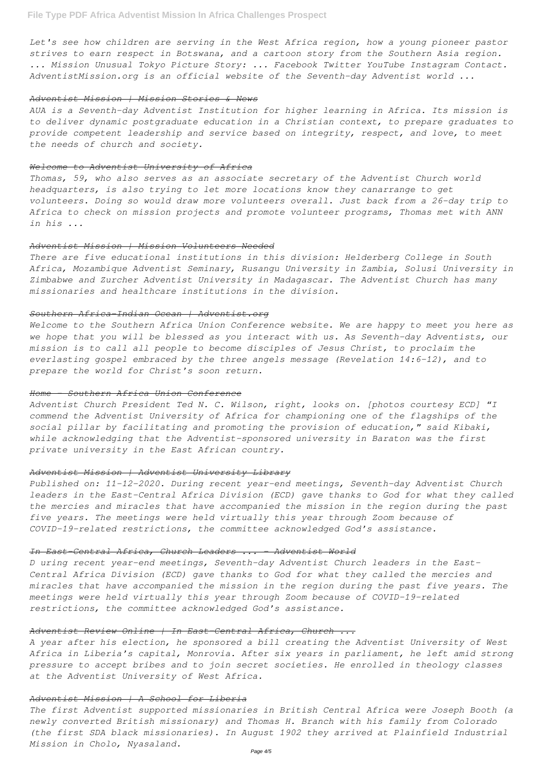*Let's see how children are serving in the West Africa region, how a young pioneer pastor strives to earn respect in Botswana, and a cartoon story from the Southern Asia region. ... Mission Unusual Tokyo Picture Story: ... Facebook Twitter YouTube Instagram Contact. AdventistMission.org is an official website of the Seventh-day Adventist world ...*

#### *Adventist Mission | Mission Stories & News*

*AUA is a Seventh-day Adventist Institution for higher learning in Africa. Its mission is to deliver dynamic postgraduate education in a Christian context, to prepare graduates to provide competent leadership and service based on integrity, respect, and love, to meet the needs of church and society.*

#### *Welcome to Adventist University of Africa*

*Thomas, 59, who also serves as an associate secretary of the Adventist Church world headquarters, is also trying to let more locations know they canarrange to get volunteers. Doing so would draw more volunteers overall. Just back from a 26-day trip to Africa to check on mission projects and promote volunteer programs, Thomas met with ANN in his ...*

# *Adventist Mission | Mission Volunteers Needed*

*There are five educational institutions in this division: Helderberg College in South Africa, Mozambique Adventist Seminary, Rusangu University in Zambia, Solusi University in Zimbabwe and Zurcher Adventist University in Madagascar. The Adventist Church has many missionaries and healthcare institutions in the division.*

# *Southern Africa-Indian Ocean | Adventist.org*

*Welcome to the Southern Africa Union Conference website. We are happy to meet you here as we hope that you will be blessed as you interact with us. As Seventh-day Adventists, our mission is to call all people to become disciples of Jesus Christ, to proclaim the everlasting gospel embraced by the three angels message (Revelation 14:6-12), and to prepare the world for Christ's soon return.*

### *Home - Southern Africa Union Conference*

*Adventist Church President Ted N. C. Wilson, right, looks on. [photos courtesy ECD] "I commend the Adventist University of Africa for championing one of the flagships of the social pillar by facilitating and promoting the provision of education," said Kibaki, while acknowledging that the Adventist-sponsored university in Baraton was the first private university in the East African country.*

#### *Adventist Mission | Adventist University Library*

*Published on: 11-12-2020. During recent year-end meetings, Seventh-day Adventist Church leaders in the East-Central Africa Division (ECD) gave thanks to God for what they called the mercies and miracles that have accompanied the mission in the region during the past five years. The meetings were held virtually this year through Zoom because of COVID-19-related restrictions, the committee acknowledged God's assistance.*

#### *In East-Central Africa, Church Leaders ... - Adventist World*

*D uring recent year-end meetings, Seventh-day Adventist Church leaders in the East-Central Africa Division (ECD) gave thanks to God for what they called the mercies and*

*miracles that have accompanied the mission in the region during the past five years. The meetings were held virtually this year through Zoom because of COVID-19-related restrictions, the committee acknowledged God's assistance.*

# *Adventist Review Online | In East-Central Africa, Church ...*

*A year after his election, he sponsored a bill creating the Adventist University of West Africa in Liberia's capital, Monrovia. After six years in parliament, he left amid strong pressure to accept bribes and to join secret societies. He enrolled in theology classes at the Adventist University of West Africa.*

## *Adventist Mission | A School for Liberia*

*The first Adventist supported missionaries in British Central Africa were Joseph Booth (a newly converted British missionary) and Thomas H. Branch with his family from Colorado (the first SDA black missionaries). In August 1902 they arrived at Plainfield Industrial Mission in Cholo, Nyasaland.*